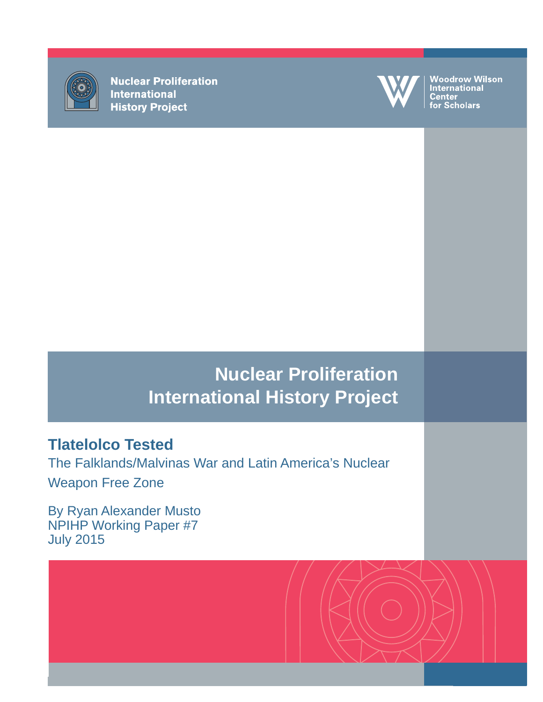

**Nuclear Proliferation International History Project** 



Woodrow Wilson<br>International ----------------<br>Center<br>for Scholars

# **Nuclear Proliferation International History Project**

## **Tlatelolco Tested**

The Falklands/Malvinas War and Latin America's Nuclear Weapon Free Zone

By Ryan Alexander Musto NPIHP Working Paper #7 July 2015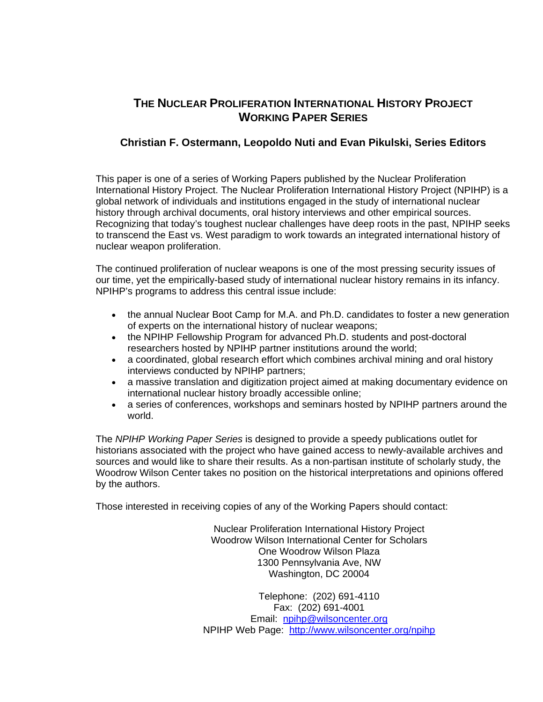## **THE NUCLEAR PROLIFERATION INTERNATIONAL HISTORY PROJECT WORKING PAPER SERIES**

### **Christian F. Ostermann, Leopoldo Nuti and Evan Pikulski, Series Editors**

This paper is one of a series of Working Papers published by the Nuclear Proliferation International History Project. The Nuclear Proliferation International History Project (NPIHP) is a global network of individuals and institutions engaged in the study of international nuclear history through archival documents, oral history interviews and other empirical sources. Recognizing that today's toughest nuclear challenges have deep roots in the past, NPIHP seeks to transcend the East vs. West paradigm to work towards an integrated international history of nuclear weapon proliferation.

The continued proliferation of nuclear weapons is one of the most pressing security issues of our time, yet the empirically-based study of international nuclear history remains in its infancy. NPIHP's programs to address this central issue include:

- the annual Nuclear Boot Camp for M.A. and Ph.D. candidates to foster a new generation of experts on the international history of nuclear weapons;
- the NPIHP Fellowship Program for advanced Ph.D. students and post-doctoral researchers hosted by NPIHP partner institutions around the world;
- a coordinated, global research effort which combines archival mining and oral history interviews conducted by NPIHP partners;
- a massive translation and digitization project aimed at making documentary evidence on international nuclear history broadly accessible online;
- a series of conferences, workshops and seminars hosted by NPIHP partners around the world.

The *NPIHP Working Paper Series* is designed to provide a speedy publications outlet for historians associated with the project who have gained access to newly-available archives and sources and would like to share their results. As a non-partisan institute of scholarly study, the Woodrow Wilson Center takes no position on the historical interpretations and opinions offered by the authors.

Those interested in receiving copies of any of the Working Papers should contact:

Nuclear Proliferation International History Project Woodrow Wilson International Center for Scholars One Woodrow Wilson Plaza 1300 Pennsylvania Ave, NW Washington, DC 20004

Telephone: (202) 691-4110 Fax: (202) 691-4001 Email: [npihp@wilsoncenter.org](mailto:npihp@wilsoncenter.org)  NPIHP Web Page: <http://www.wilsoncenter.org/npihp>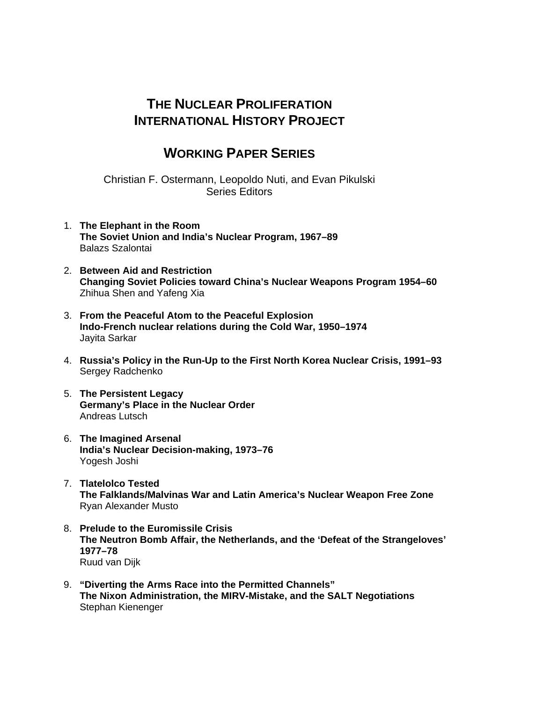## **THE NUCLEAR PROLIFERATION INTERNATIONAL HISTORY PROJECT**

## **WORKING PAPER SERIES**

Christian F. Ostermann, Leopoldo Nuti, and Evan Pikulski Series Editors

- 1. **The Elephant in the Room The Soviet Union and India's Nuclear Program, 1967–89**  Balazs Szalontai
- 2. **Between Aid and Restriction Changing Soviet Policies toward China's Nuclear Weapons Program 1954–60** Zhihua Shen and Yafeng Xia
- 3. **From the Peaceful Atom to the Peaceful Explosion Indo-French nuclear relations during the Cold War, 1950–1974**  Jayita Sarkar
- 4. **Russia's Policy in the Run-Up to the First North Korea Nuclear Crisis, 1991–93** Sergey Radchenko
- 5. **The Persistent Legacy Germany's Place in the Nuclear Order** Andreas Lutsch
- 6. **The Imagined Arsenal India's Nuclear Decision-making, 1973–76** Yogesh Joshi
- 7. **Tlatelolco Tested The Falklands/Malvinas War and Latin America's Nuclear Weapon Free Zone** Ryan Alexander Musto
- 8. **Prelude to the Euromissile Crisis The Neutron Bomb Affair, the Netherlands, and the 'Defeat of the Strangeloves' 1977–78** Ruud van Dijk
- 9. **"Diverting the Arms Race into the Permitted Channels" The Nixon Administration, the MIRV-Mistake, and the SALT Negotiations** Stephan Kienenger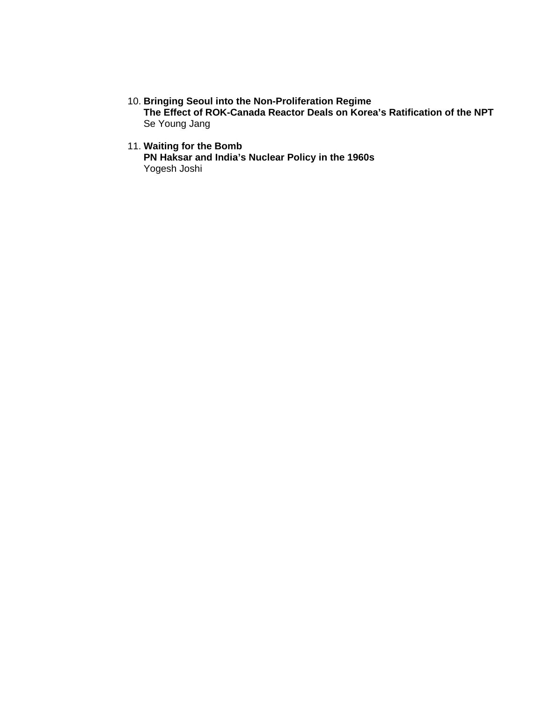10. **Bringing Seoul into the Non-Proliferation Regime** 

**The Effect of ROK-Canada Reactor Deals on Korea's Ratification of the NPT** Se Young Jang

### 11. **Waiting for the Bomb**

**PN Haksar and India's Nuclear Policy in the 1960s** Yogesh Joshi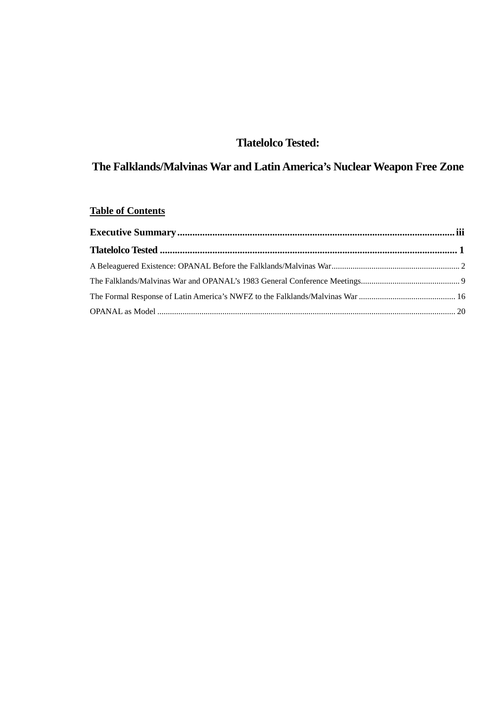## **Tlatelolco Tested:**

## **The Falklands/Malvinas War and Latin America's Nuclear Weapon Free Zone**

## **Table of Contents**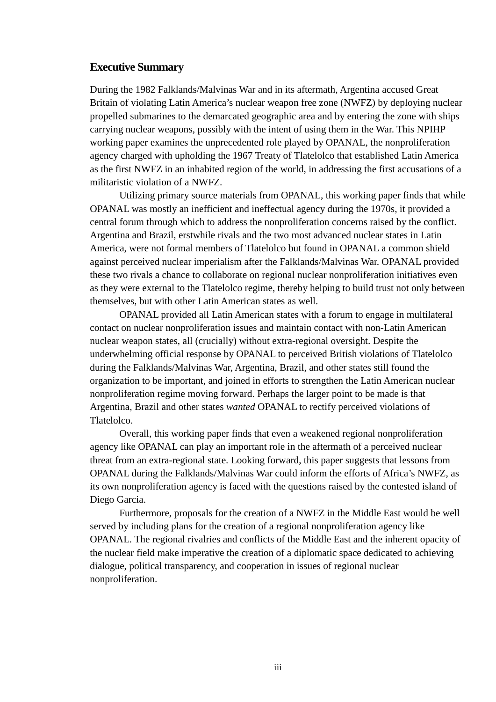#### <span id="page-8-0"></span>**Executive Summary**

During the 1982 Falklands/Malvinas War and in its aftermath, Argentina accused Great Britain of violating Latin America's nuclear weapon free zone (NWFZ) by deploying nuclear propelled submarines to the demarcated geographic area and by entering the zone with ships carrying nuclear weapons, possibly with the intent of using them in the War. This NPIHP working paper examines the unprecedented role played by OPANAL, the nonproliferation agency charged with upholding the 1967 Treaty of Tlatelolco that established Latin America as the first NWFZ in an inhabited region of the world, in addressing the first accusations of a militaristic violation of a NWFZ.

Utilizing primary source materials from OPANAL, this working paper finds that while OPANAL was mostly an inefficient and ineffectual agency during the 1970s, it provided a central forum through which to address the nonproliferation concerns raised by the conflict. Argentina and Brazil, erstwhile rivals and the two most advanced nuclear states in Latin America, were not formal members of Tlatelolco but found in OPANAL a common shield against perceived nuclear imperialism after the Falklands/Malvinas War. OPANAL provided these two rivals a chance to collaborate on regional nuclear nonproliferation initiatives even as they were external to the Tlatelolco regime, thereby helping to build trust not only between themselves, but with other Latin American states as well.

OPANAL provided all Latin American states with a forum to engage in multilateral contact on nuclear nonproliferation issues and maintain contact with non-Latin American nuclear weapon states, all (crucially) without extra-regional oversight. Despite the underwhelming official response by OPANAL to perceived British violations of Tlatelolco during the Falklands/Malvinas War, Argentina, Brazil, and other states still found the organization to be important, and joined in efforts to strengthen the Latin American nuclear nonproliferation regime moving forward. Perhaps the larger point to be made is that Argentina, Brazil and other states *wanted* OPANAL to rectify perceived violations of Tlatelolco.

Overall, this working paper finds that even a weakened regional nonproliferation agency like OPANAL can play an important role in the aftermath of a perceived nuclear threat from an extra-regional state. Looking forward, this paper suggests that lessons from OPANAL during the Falklands/Malvinas War could inform the efforts of Africa's NWFZ, as its own nonproliferation agency is faced with the questions raised by the contested island of Diego Garcia.

Furthermore, proposals for the creation of a NWFZ in the Middle East would be well served by including plans for the creation of a regional nonproliferation agency like OPANAL. The regional rivalries and conflicts of the Middle East and the inherent opacity of the nuclear field make imperative the creation of a diplomatic space dedicated to achieving dialogue, political transparency, and cooperation in issues of regional nuclear nonproliferation.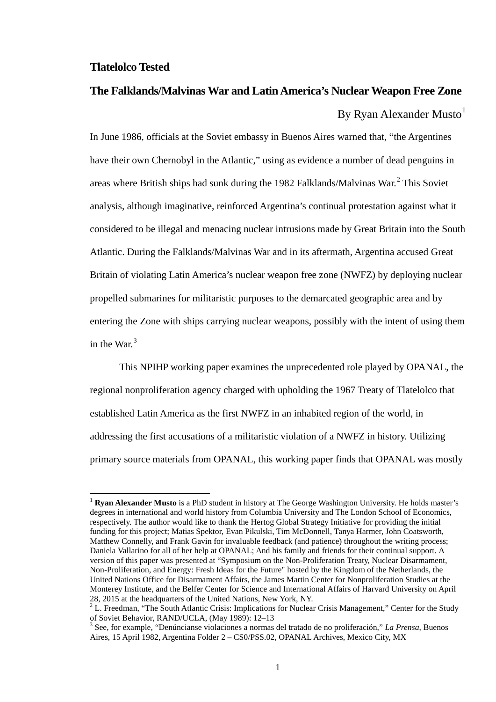#### <span id="page-10-0"></span>**Tlatelolco Tested**

**.** 

## **The Falklands/Malvinas War and Latin America's Nuclear Weapon Free Zone** By Ryan Alexander Musto $<sup>1</sup>$  $<sup>1</sup>$  $<sup>1</sup>$ </sup>

In June 1986, officials at the Soviet embassy in Buenos Aires warned that, "the Argentines have their own Chernobyl in the Atlantic," using as evidence a number of dead penguins in areas where British ships had sunk during the 198[2](#page-10-2) Falklands/Malvinas War.<sup>2</sup> This Soviet analysis, although imaginative, reinforced Argentina's continual protestation against what it considered to be illegal and menacing nuclear intrusions made by Great Britain into the South Atlantic. During the Falklands/Malvinas War and in its aftermath, Argentina accused Great Britain of violating Latin America's nuclear weapon free zone (NWFZ) by deploying nuclear propelled submarines for militaristic purposes to the demarcated geographic area and by entering the Zone with ships carrying nuclear weapons, possibly with the intent of using them in the War.<sup>[3](#page-10-3)</sup>

This NPIHP working paper examines the unprecedented role played by OPANAL, the regional nonproliferation agency charged with upholding the 1967 Treaty of Tlatelolco that established Latin America as the first NWFZ in an inhabited region of the world, in addressing the first accusations of a militaristic violation of a NWFZ in history. Utilizing primary source materials from OPANAL, this working paper finds that OPANAL was mostly

<span id="page-10-1"></span><sup>1</sup> **Ryan Alexander Musto** is a PhD student in history at The George Washington University. He holds master's degrees in international and world history from Columbia University and The London School of Economics, respectively. The author would like to thank the Hertog Global Strategy Initiative for providing the initial funding for this project; Matias Spektor, Evan Pikulski, Tim McDonnell, Tanya Harmer, John Coatsworth, Matthew Connelly, and Frank Gavin for invaluable feedback (and patience) throughout the writing process; Daniela Vallarino for all of her help at OPANAL; And his family and friends for their continual support. A version of this paper was presented at "Symposium on the Non-Proliferation Treaty, Nuclear Disarmament, Non-Proliferation, and Energy: Fresh Ideas for the Future" hosted by the Kingdom of the Netherlands, the United Nations Office for Disarmament Affairs, the James Martin Center for Nonproliferation Studies at the Monterey Institute, and the Belfer Center for Science and International Affairs of Harvard University on April 28, 2015 at the headquarters of the United Nations. New York, NY.

<span id="page-10-2"></span><sup>&</sup>lt;sup>2</sup> L. Freedman, "The South Atlantic Crisis: Implications for Nuclear Crisis Management," Center for the Study of Soviet Behavior, RAND/UCLA, (May 1989): 12–13 <sup>3</sup> See, for example, "Denúncianse violaciones a normas del tratado de no proliferación," *La Prensa*, Buenos

<span id="page-10-3"></span>Aires, 15 April 1982, Argentina Folder 2 – CS0/PSS.02, OPANAL Archives, Mexico City, MX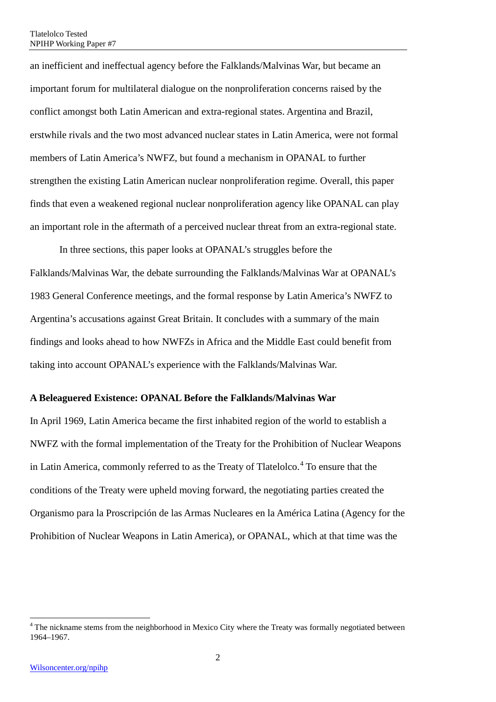an inefficient and ineffectual agency before the Falklands/Malvinas War, but became an important forum for multilateral dialogue on the nonproliferation concerns raised by the conflict amongst both Latin American and extra-regional states. Argentina and Brazil, erstwhile rivals and the two most advanced nuclear states in Latin America, were not formal members of Latin America's NWFZ, but found a mechanism in OPANAL to further strengthen the existing Latin American nuclear nonproliferation regime. Overall, this paper finds that even a weakened regional nuclear nonproliferation agency like OPANAL can play an important role in the aftermath of a perceived nuclear threat from an extra-regional state.

In three sections, this paper looks at OPANAL's struggles before the Falklands/Malvinas War, the debate surrounding the Falklands/Malvinas War at OPANAL's 1983 General Conference meetings, and the formal response by Latin America's NWFZ to Argentina's accusations against Great Britain. It concludes with a summary of the main findings and looks ahead to how NWFZs in Africa and the Middle East could benefit from taking into account OPANAL's experience with the Falklands/Malvinas War.

#### <span id="page-11-0"></span>**A Beleaguered Existence: OPANAL Before the Falklands/Malvinas War**

In April 1969, Latin America became the first inhabited region of the world to establish a NWFZ with the formal implementation of the Treaty for the Prohibition of Nuclear Weapons in Latin America, commonly referred to as the Treaty of Tlatelolco.<sup>[4](#page-11-1)</sup> To ensure that the conditions of the Treaty were upheld moving forward, the negotiating parties created the Organismo para la Proscripción de las Armas Nucleares en la América Latina (Agency for the Prohibition of Nuclear Weapons in Latin America), or OPANAL, which at that time was the

 $\overline{a}$ 

<span id="page-11-1"></span><sup>&</sup>lt;sup>4</sup> The nickname stems from the neighborhood in Mexico City where the Treaty was formally negotiated between 1964–1967.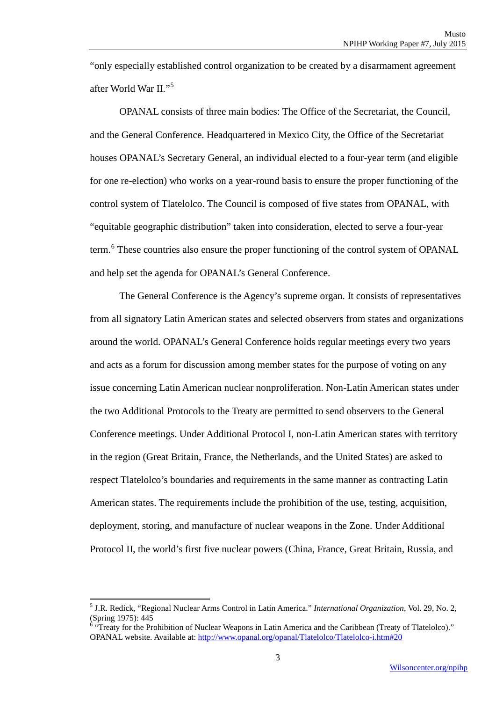"only especially established control organization to be created by a disarmament agreement after World War II."[5](#page-12-0)

OPANAL consists of three main bodies: The Office of the Secretariat, the Council, and the General Conference. Headquartered in Mexico City, the Office of the Secretariat houses OPANAL's Secretary General, an individual elected to a four-year term (and eligible for one re-election) who works on a year-round basis to ensure the proper functioning of the control system of Tlatelolco. The Council is composed of five states from OPANAL, with "equitable geographic distribution" taken into consideration, elected to serve a four-year term.<sup>[6](#page-12-1)</sup> These countries also ensure the proper functioning of the control system of OPANAL and help set the agenda for OPANAL's General Conference.

The General Conference is the Agency's supreme organ. It consists of representatives from all signatory Latin American states and selected observers from states and organizations around the world. OPANAL's General Conference holds regular meetings every two years and acts as a forum for discussion among member states for the purpose of voting on any issue concerning Latin American nuclear nonproliferation. Non-Latin American states under the two Additional Protocols to the Treaty are permitted to send observers to the General Conference meetings. Under Additional Protocol I, non-Latin American states with territory in the region (Great Britain, France, the Netherlands, and the United States) are asked to respect Tlatelolco's boundaries and requirements in the same manner as contracting Latin American states. The requirements include the prohibition of the use, testing, acquisition, deployment, storing, and manufacture of nuclear weapons in the Zone. Under Additional Protocol II, the world's first five nuclear powers (China, France, Great Britain, Russia, and

 $\overline{a}$ 

<span id="page-12-0"></span><sup>5</sup> J.R. Redick, "Regional Nuclear Arms Control in Latin America." *International Organization*, Vol. 29, No. 2, (Spring 1975): 445

<span id="page-12-1"></span><sup>6</sup> "Treaty for the Prohibition of Nuclear Weapons in Latin America and the Caribbean (Treaty of Tlatelolco)." OPANAL website. Available at: [http://www.opanal.org/opanal/Tlatelolco/Tlatelolco-i.htm#20](http://www.opanal.org/opanal/Tlatelolco/Tlatelolco-i.htm%2320)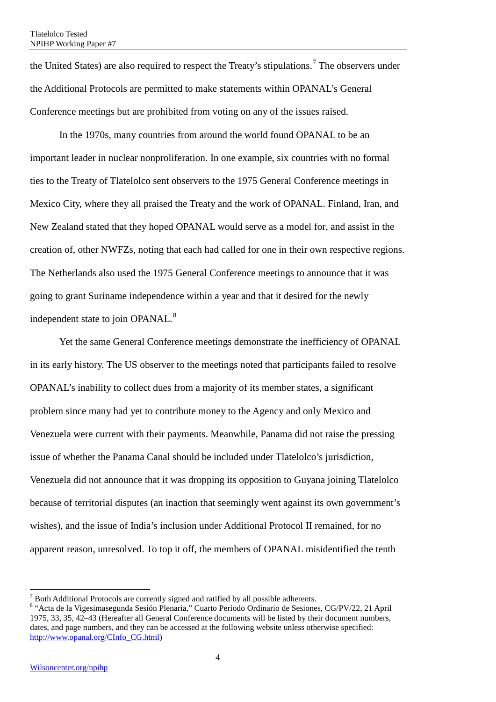the United States) are also required to respect the Treaty's stipulations.<sup>[7](#page-13-0)</sup> The observers under the Additional Protocols are permitted to make statements within OPANAL's General Conference meetings but are prohibited from voting on any of the issues raised.

In the 1970s, many countries from around the world found OPANAL to be an important leader in nuclear nonproliferation. In one example, six countries with no formal ties to the Treaty of Tlatelolco sent observers to the 1975 General Conference meetings in Mexico City, where they all praised the Treaty and the work of OPANAL. Finland, Iran, and New Zealand stated that they hoped OPANAL would serve as a model for, and assist in the creation of, other NWFZs, noting that each had called for one in their own respective regions. The Netherlands also used the 1975 General Conference meetings to announce that it was going to grant Suriname independence within a year and that it desired for the newly independent state to join OPANAL.<sup>[8](#page-13-1)</sup>

Yet the same General Conference meetings demonstrate the inefficiency of OPANAL in its early history. The US observer to the meetings noted that participants failed to resolve OPANAL's inability to collect dues from a majority of its member states, a significant problem since many had yet to contribute money to the Agency and only Mexico and Venezuela were current with their payments. Meanwhile, Panama did not raise the pressing issue of whether the Panama Canal should be included under Tlatelolco's jurisdiction, Venezuela did not announce that it was dropping its opposition to Guyana joining Tlatelolco because of territorial disputes (an inaction that seemingly went against its own government's wishes), and the issue of India's inclusion under Additional Protocol II remained, for no apparent reason, unresolved. To top it off, the members of OPANAL misidentified the tenth

<span id="page-13-0"></span> $\frac{7}{1}$  Both Additional Protocols are currently signed and ratified by all possible adherents.

<span id="page-13-1"></span><sup>&</sup>lt;sup>8</sup> "Acta de la Vigesimasegunda Sesión Plenaria," Cuarto Período Ordinario de Sesiones, CG/PV/22, 21 April 1975, 33, 35, 42–43 (Hereafter all General Conference documents will be listed by their document numbers, dates, and page numbers, and they can be accessed at the following website unless otherwise specified: [http://www.opanal.org/CInfo\\_CG.html\)](http://www.opanal.org/CInfo_CG.html)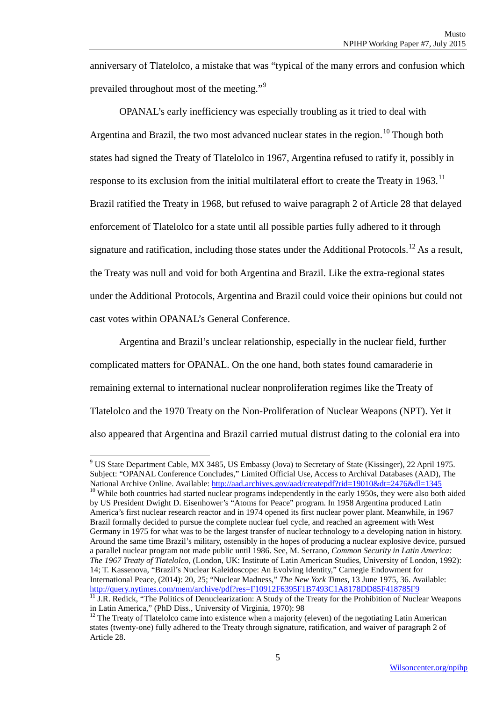anniversary of Tlatelolco, a mistake that was "typical of the many errors and confusion which prevailed throughout most of the meeting."[9](#page-14-0)

OPANAL's early inefficiency was especially troubling as it tried to deal with Argentina and Brazil, the two most advanced nuclear states in the region.<sup>[10](#page-14-1)</sup> Though both states had signed the Treaty of Tlatelolco in 1967, Argentina refused to ratify it, possibly in response to its exclusion from the initial multilateral effort to create the Treaty in  $1963$ .<sup>[11](#page-14-2)</sup> Brazil ratified the Treaty in 1968, but refused to waive paragraph 2 of Article 28 that delayed enforcement of Tlatelolco for a state until all possible parties fully adhered to it through signature and ratification, including those states under the Additional Protocols.<sup>[12](#page-14-3)</sup> As a result, the Treaty was null and void for both Argentina and Brazil. Like the extra-regional states under the Additional Protocols, Argentina and Brazil could voice their opinions but could not cast votes within OPANAL's General Conference.

Argentina and Brazil's unclear relationship, especially in the nuclear field, further complicated matters for OPANAL. On the one hand, both states found camaraderie in remaining external to international nuclear nonproliferation regimes like the Treaty of Tlatelolco and the 1970 Treaty on the Non-Proliferation of Nuclear Weapons (NPT). Yet it also appeared that Argentina and Brazil carried mutual distrust dating to the colonial era into

<span id="page-14-1"></span><span id="page-14-0"></span> $9$  US State Department Cable, MX 3485, US Embassy (Jova) to Secretary of State (Kissinger), 22 April 1975. Subject: "OPANAL Conference Concludes," Limited Official Use, Access to Archival Databases (AAD), The National Archive Online. Available: http://aad.archives.gov/aad/createpdf?rid=19010&dt=2476&dl=1345  $10$  While both countries had started nuclear programs independently in the early 1950s, they were also both aided by US President Dwight D. Eisenhower's "Atoms for Peace" program. In 1958 Argentina produced Latin America's first nuclear research reactor and in 1974 opened its first nuclear power plant. Meanwhile, in 1967 Brazil formally decided to pursue the complete nuclear fuel cycle, and reached an agreement with West Germany in 1975 for what was to be the largest transfer of nuclear technology to a developing nation in history. Around the same time Brazil's military, ostensibly in the hopes of producing a nuclear explosive device, pursued a parallel nuclear program not made public until 1986. See, M. Serrano, *Common Security in Latin America: The 1967 Treaty of Tlatelolco*, (London, UK: Institute of Latin American Studies, University of London, 1992): 14; T. Kassenova, "Brazil's Nuclear Kaleidoscope: An Evolving Identity," Carnegie Endowment for International Peace, (2014): 20, 25; "Nuclear Madness," *The New York Times*, 13 June 1975, 36. Available: <http://query.nytimes.com/mem/archive/pdf?res=F10912F6395F1B7493C1A8178DD85F418785F9>

<span id="page-14-2"></span> $\overline{11}$  J.R. Redick, "The Politics of Denuclearization: A Study of the Treaty for the Prohibition of Nuclear Weapons in Latin America," (PhD Diss., University of Virginia, 1970): 98<br><sup>12</sup> The Treaty of Tlatelolco came into existence when a majority (eleven) of the negotiating Latin American

<span id="page-14-3"></span>states (twenty-one) fully adhered to the Treaty through signature, ratification, and waiver of paragraph 2 of Article 28.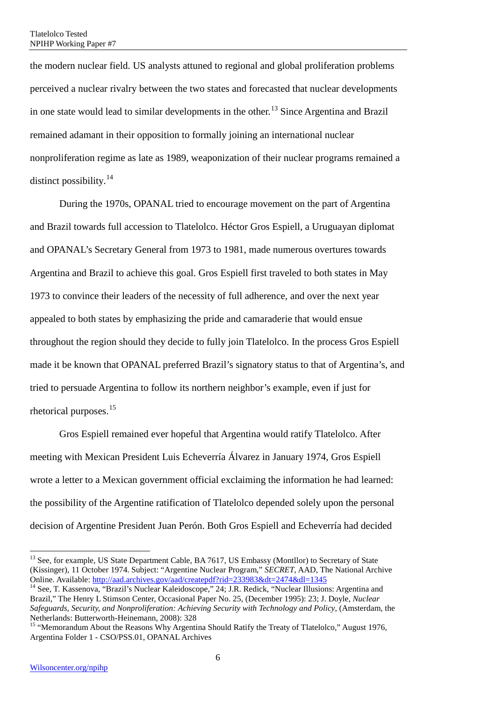the modern nuclear field. US analysts attuned to regional and global proliferation problems perceived a nuclear rivalry between the two states and forecasted that nuclear developments in one state would lead to similar developments in the other.<sup>[13](#page-15-0)</sup> Since Argentina and Brazil remained adamant in their opposition to formally joining an international nuclear nonproliferation regime as late as 1989, weaponization of their nuclear programs remained a distinct possibility.<sup>[14](#page-15-1)</sup>

During the 1970s, OPANAL tried to encourage movement on the part of Argentina and Brazil towards full accession to Tlatelolco. Héctor Gros Espiell, a Uruguayan diplomat and OPANAL's Secretary General from 1973 to 1981, made numerous overtures towards Argentina and Brazil to achieve this goal. Gros Espiell first traveled to both states in May 1973 to convince their leaders of the necessity of full adherence, and over the next year appealed to both states by emphasizing the pride and camaraderie that would ensue throughout the region should they decide to fully join Tlatelolco. In the process Gros Espiell made it be known that OPANAL preferred Brazil's signatory status to that of Argentina's, and tried to persuade Argentina to follow its northern neighbor's example, even if just for rhetorical purposes.[15](#page-15-2)

Gros Espiell remained ever hopeful that Argentina would ratify Tlatelolco. After meeting with Mexican President Luis Echeverría Álvarez in January 1974, Gros Espiell wrote a letter to a Mexican government official exclaiming the information he had learned: the possibility of the Argentine ratification of Tlatelolco depended solely upon the personal decision of Argentine President Juan Perón. Both Gros Espiell and Echeverría had decided

<span id="page-15-0"></span><sup>&</sup>lt;sup>13</sup> See, for example, US State Department Cable, BA 7617, US Embassy (Montllor) to Secretary of State (Kissinger), 11 October 1974. Subject: "Argentine Nuclear Program," *SECRET*, AAD, The National Archive

<span id="page-15-1"></span><sup>&</sup>lt;sup>14</sup> See, T. Kassenova, "Brazil's Nuclear Kaleidoscope," 24; J.R. Redick, "Nuclear Illusions: Argentina and Brazil," The Henry L Stimson Center, Occasional Paper No. 25, (December 1995): 23; J. Doyle, *Nuclear Safeguards, Security, and Nonproliferation: Achieving Security with Technology and Policy*, (Amsterdam, the Netherlands: Butterworth-Heinemann, 2008): 328<br><sup>15</sup> "Memorandum About the Reasons Why Argentina Should Ratify the Treaty of Tlatelolco," August 1976,

<span id="page-15-2"></span>Argentina Folder 1 - CSO/PSS.01, OPANAL Archives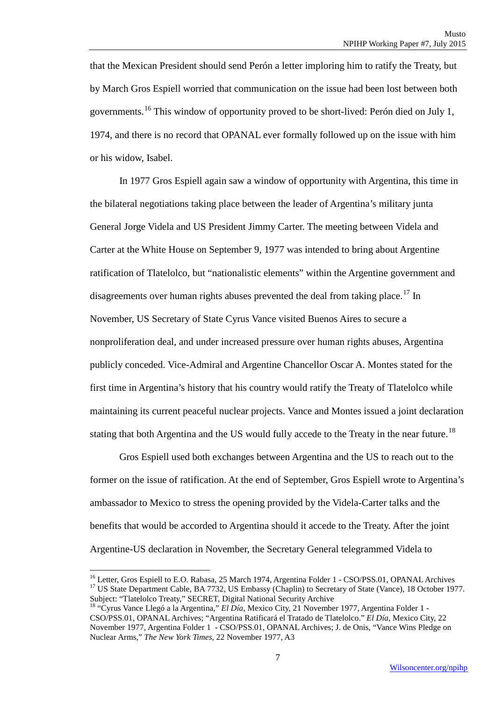that the Mexican President should send Perón a letter imploring him to ratify the Treaty, but by March Gros Espiell worried that communication on the issue had been lost between both governments.[16](#page-16-0) This window of opportunity proved to be short-lived: Perón died on July 1, 1974, and there is no record that OPANAL ever formally followed up on the issue with him or his widow, Isabel.

In 1977 Gros Espiell again saw a window of opportunity with Argentina, this time in the bilateral negotiations taking place between the leader of Argentina's military junta General Jorge Videla and US President Jimmy Carter. The meeting between Videla and Carter at the White House on September 9, 1977 was intended to bring about Argentine ratification of Tlatelolco, but "nationalistic elements" within the Argentine government and disagreements over human rights abuses prevented the deal from taking place.<sup>[17](#page-16-1)</sup> In November, US Secretary of State Cyrus Vance visited Buenos Aires to secure a nonproliferation deal, and under increased pressure over human rights abuses, Argentina publicly conceded. Vice-Admiral and Argentine Chancellor Oscar A. Montes stated for the first time in Argentina's history that his country would ratify the Treaty of Tlatelolco while maintaining its current peaceful nuclear projects. Vance and Montes issued a joint declaration stating that both Argentina and the US would fully accede to the Treaty in the near future.<sup>18</sup>

Gros Espiell used both exchanges between Argentina and the US to reach out to the former on the issue of ratification. At the end of September, Gros Espiell wrote to Argentina's ambassador to Mexico to stress the opening provided by the Videla-Carter talks and the benefits that would be accorded to Argentina should it accede to the Treaty. After the joint Argentine-US declaration in November, the Secretary General telegrammed Videla to

<span id="page-16-1"></span><span id="page-16-0"></span><sup>&</sup>lt;sup>16</sup> Letter, Gros Espiell to E.O. Rabasa, 25 March 1974, Argentina Folder 1 - CSO/PSS.01, OPANAL Archives <sup>17</sup> US State Department Cable, BA 7732, US Embassy (Chaplin) to Secretary of State (Vance), 18 October 1977. Subject: "Tlatelolco Treaty," SECRET, Digital National Security Archive

<span id="page-16-2"></span><sup>&</sup>lt;sup>18</sup> "Cyrus Vance Llegó a la Argentina," *El Día*, Mexico City, 21 November 1977, Argentina Folder 1 -CSO/PSS.01, OPANAL Archives; "Argentina Ratificará el Tratado de Tlatelolco." *El Día*, Mexico City, 22 November 1977, Argentina Folder 1 - CSO/PSS.01, OPANAL Archives; J. de Onis, "Vance Wins Pledge on Nuclear Arms," *The New York Times*, 22 November 1977, A3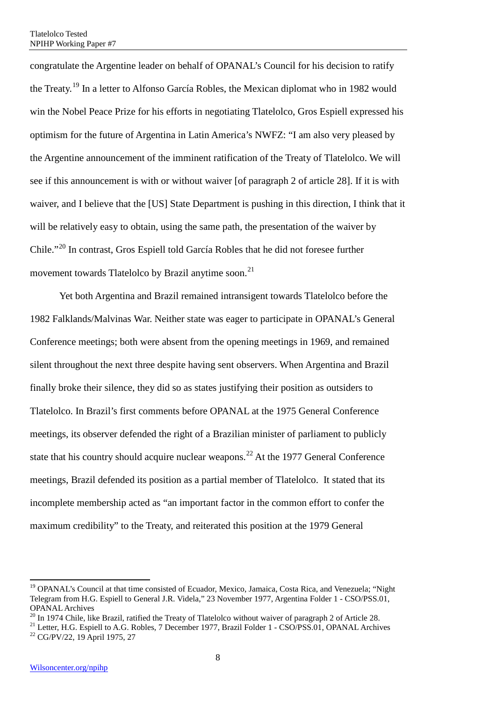congratulate the Argentine leader on behalf of OPANAL's Council for his decision to ratify the Treaty.<sup>[19](#page-17-0)</sup> In a letter to Alfonso García Robles, the Mexican diplomat who in 1982 would win the Nobel Peace Prize for his efforts in negotiating Tlatelolco, Gros Espiell expressed his optimism for the future of Argentina in Latin America's NWFZ: "I am also very pleased by the Argentine announcement of the imminent ratification of the Treaty of Tlatelolco. We will see if this announcement is with or without waiver [of paragraph 2 of article 28]. If it is with waiver, and I believe that the [US] State Department is pushing in this direction, I think that it will be relatively easy to obtain, using the same path, the presentation of the waiver by Chile."[20](#page-17-1) In contrast, Gros Espiell told García Robles that he did not foresee further movement towards Tlatelolco by Brazil anytime soon.<sup>[21](#page-17-2)</sup>

Yet both Argentina and Brazil remained intransigent towards Tlatelolco before the 1982 Falklands/Malvinas War. Neither state was eager to participate in OPANAL's General Conference meetings; both were absent from the opening meetings in 1969, and remained silent throughout the next three despite having sent observers. When Argentina and Brazil finally broke their silence, they did so as states justifying their position as outsiders to Tlatelolco. In Brazil's first comments before OPANAL at the 1975 General Conference meetings, its observer defended the right of a Brazilian minister of parliament to publicly state that his country should acquire nuclear weapons.<sup>[22](#page-17-3)</sup> At the 1977 General Conference meetings, Brazil defended its position as a partial member of Tlatelolco. It stated that its incomplete membership acted as "an important factor in the common effort to confer the maximum credibility" to the Treaty, and reiterated this position at the 1979 General

<span id="page-17-0"></span><sup>&</sup>lt;sup>19</sup> OPANAL's Council at that time consisted of Ecuador, Mexico, Jamaica, Costa Rica, and Venezuela; "Night Telegram from H.G. Espiell to General J.R. Videla," 23 November 1977, Argentina Folder 1 - CSO/PSS.01, OPANAL Archives<br><sup>20</sup> In 1974 Chile, like Brazil, ratified the Treaty of Tlatelolco without waiver of paragraph 2 of Article 28.

<span id="page-17-3"></span><span id="page-17-2"></span><span id="page-17-1"></span><sup>&</sup>lt;sup>21</sup> Letter, H.G. Espiell to A.G. Robles, 7 December 1977, Brazil Folder 1 - CSO/PSS.01, OPANAL Archives<br><sup>22</sup> CG/PV/22, 19 April 1975, 27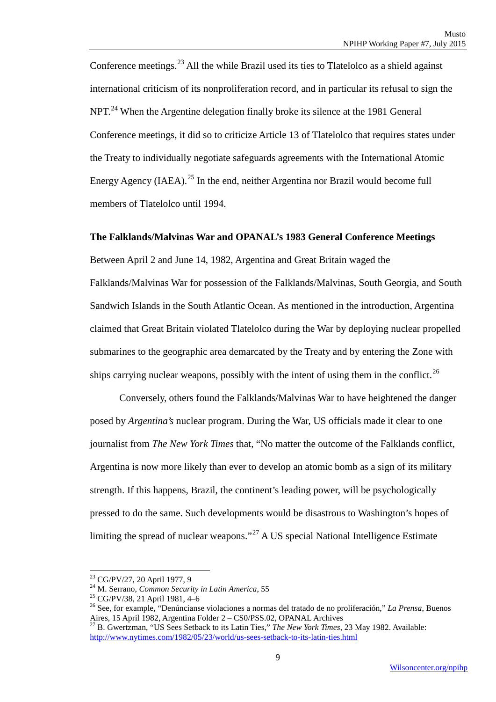Conference meetings.<sup>[23](#page-18-1)</sup> All the while Brazil used its ties to Tlatelolco as a shield against international criticism of its nonproliferation record, and in particular its refusal to sign the NPT.<sup>[24](#page-18-2)</sup> When the Argentine delegation finally broke its silence at the 1981 General Conference meetings, it did so to criticize Article 13 of Tlatelolco that requires states under the Treaty to individually negotiate safeguards agreements with the International Atomic Energy Agency (IAEA).<sup>[25](#page-18-3)</sup> In the end, neither Argentina nor Brazil would become full members of Tlatelolco until 1994.

#### <span id="page-18-0"></span>**The Falklands/Malvinas War and OPANAL's 1983 General Conference Meetings**

Between April 2 and June 14, 1982, Argentina and Great Britain waged the Falklands/Malvinas War for possession of the Falklands/Malvinas, South Georgia, and South Sandwich Islands in the South Atlantic Ocean. As mentioned in the introduction, Argentina claimed that Great Britain violated Tlatelolco during the War by deploying nuclear propelled submarines to the geographic area demarcated by the Treaty and by entering the Zone with ships carrying nuclear weapons, possibly with the intent of using them in the conflict.<sup>[26](#page-18-4)</sup>

Conversely, others found the Falklands/Malvinas War to have heightened the danger posed by *Argentina's* nuclear program. During the War, US officials made it clear to one journalist from *The New York Times* that, "No matter the outcome of the Falklands conflict, Argentina is now more likely than ever to develop an atomic bomb as a sign of its military strength. If this happens, Brazil, the continent's leading power, will be psychologically pressed to do the same. Such developments would be disastrous to Washington's hopes of limiting the spread of nuclear weapons."[27](#page-18-5) A US special National Intelligence Estimate

<span id="page-18-1"></span><sup>&</sup>lt;sup>23</sup> CG/PV/27, 20 April 1977, 9

<span id="page-18-4"></span><span id="page-18-3"></span><span id="page-18-2"></span>

<sup>&</sup>lt;sup>24</sup> M. Serrano, *Common Security in Latin America*, 55<br>
<sup>25</sup> CG/PV/38, 21 April 1981, 4–6<br>
<sup>26</sup> See, for example, "Denúncianse violaciones a normas del tratado de no proliferación," *La Prensa*, Buenos<br>
Aires, 15 April 1

<span id="page-18-5"></span>Aires, 15 April 1982, Argentina Folder 2 – CS0/PSS.02, OPTANIA Republican Based 27 B. Gwertzman, "US Sees Setback to its Latin Ties," *The New York Times*, 23 May 1982. Available: <http://www.nytimes.com/1982/05/23/world/us-sees-setback-to-its-latin-ties.html>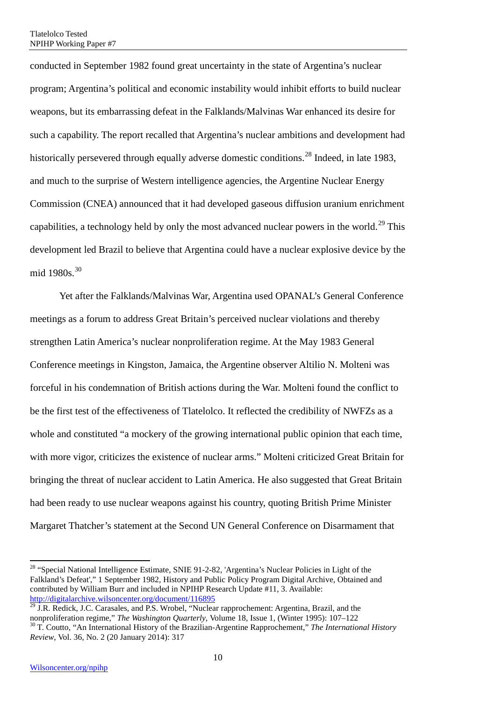conducted in September 1982 found great uncertainty in the state of Argentina's nuclear program; Argentina's political and economic instability would inhibit efforts to build nuclear weapons, but its embarrassing defeat in the Falklands/Malvinas War enhanced its desire for such a capability. The report recalled that Argentina's nuclear ambitions and development had historically persevered through equally adverse domestic conditions.<sup>[28](#page-19-0)</sup> Indeed, in late 1983, and much to the surprise of Western intelligence agencies, the Argentine Nuclear Energy Commission (CNEA) announced that it had developed gaseous diffusion uranium enrichment capabilities, a technology held by only the most advanced nuclear powers in the world.<sup>[29](#page-19-1)</sup> This development led Brazil to believe that Argentina could have a nuclear explosive device by the mid 1980s.<sup>[30](#page-19-2)</sup>

Yet after the Falklands/Malvinas War, Argentina used OPANAL's General Conference meetings as a forum to address Great Britain's perceived nuclear violations and thereby strengthen Latin America's nuclear nonproliferation regime. At the May 1983 General Conference meetings in Kingston, Jamaica, the Argentine observer Altilio N. Molteni was forceful in his condemnation of British actions during the War. Molteni found the conflict to be the first test of the effectiveness of Tlatelolco. It reflected the credibility of NWFZs as a whole and constituted "a mockery of the growing international public opinion that each time, with more vigor, criticizes the existence of nuclear arms." Molteni criticized Great Britain for bringing the threat of nuclear accident to Latin America. He also suggested that Great Britain had been ready to use nuclear weapons against his country, quoting British Prime Minister Margaret Thatcher's statement at the Second UN General Conference on Disarmament that

 $\overline{a}$ 

<span id="page-19-0"></span><sup>&</sup>lt;sup>28</sup> "Special National Intelligence Estimate, SNIE 91-2-82, 'Argentina's Nuclear Policies in Light of the Falkland's Defeat'," 1 September 1982, History and Public Policy Program Digital Archive, Obtained and contributed by William Burr and included in NPIHP Research Update #11, 3. Available: <http://digitalarchive.wilsoncenter.org/document/116895>

<span id="page-19-2"></span><span id="page-19-1"></span><sup>&</sup>lt;sup>29</sup> J.R. Redick, J.C. Carasales, and P.S. Wrobel, "Nuclear rapprochement: Argentina, Brazil, and the nonproliferation regime," *The Washington Quarterly*, Volume 18, Issue 1, (Winter 1995): 107–122 <sup>30</sup> T. Coutto, "An International History of the Brazilian-Argentine Rapprochement," *The International History Review*, Vol. 36, No. 2 (20 January 2014): 317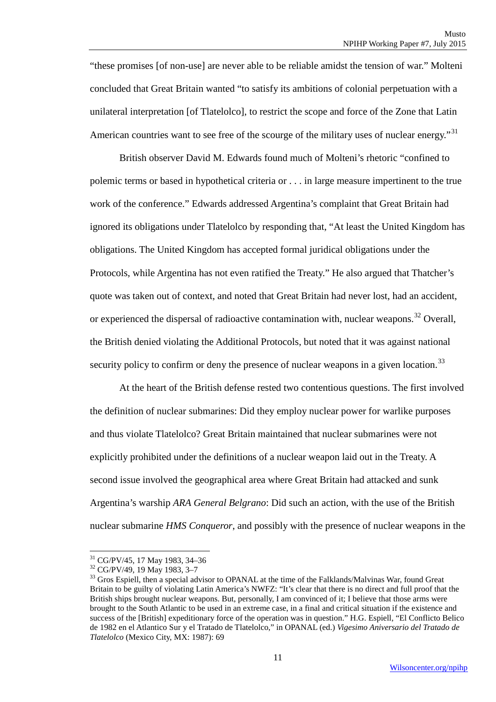"these promises [of non-use] are never able to be reliable amidst the tension of war." Molteni concluded that Great Britain wanted "to satisfy its ambitions of colonial perpetuation with a unilateral interpretation [of Tlatelolco], to restrict the scope and force of the Zone that Latin American countries want to see free of the scourge of the military uses of nuclear energy."<sup>[31](#page-20-0)</sup>

British observer David M. Edwards found much of Molteni's rhetoric "confined to polemic terms or based in hypothetical criteria or . . . in large measure impertinent to the true work of the conference." Edwards addressed Argentina's complaint that Great Britain had ignored its obligations under Tlatelolco by responding that, "At least the United Kingdom has obligations. The United Kingdom has accepted formal juridical obligations under the Protocols, while Argentina has not even ratified the Treaty." He also argued that Thatcher's quote was taken out of context, and noted that Great Britain had never lost, had an accident, or experienced the dispersal of radioactive contamination with, nuclear weapons.<sup>[32](#page-20-1)</sup> Overall, the British denied violating the Additional Protocols, but noted that it was against national security policy to confirm or deny the presence of nuclear weapons in a given location.<sup>[33](#page-20-2)</sup>

At the heart of the British defense rested two contentious questions. The first involved the definition of nuclear submarines: Did they employ nuclear power for warlike purposes and thus violate Tlatelolco? Great Britain maintained that nuclear submarines were not explicitly prohibited under the definitions of a nuclear weapon laid out in the Treaty. A second issue involved the geographical area where Great Britain had attacked and sunk Argentina's warship *ARA General Belgrano*: Did such an action, with the use of the British nuclear submarine *HMS Conqueror*, and possibly with the presence of nuclear weapons in the

**<sup>.</sup>** 

<span id="page-20-2"></span><span id="page-20-1"></span>

<span id="page-20-0"></span><sup>&</sup>lt;sup>31</sup> CG/PV/45, 17 May 1983, 34–36<br><sup>32</sup> CG/PV/49, 19 May 1983, 3–7<br><sup>33</sup> Gros Espiell, then a special advisor to OPANAL at the time of the Falklands/Malvinas War, found Great Britain to be guilty of violating Latin America's NWFZ: "It's clear that there is no direct and full proof that the British ships brought nuclear weapons. But, personally, I am convinced of it; I believe that those arms were brought to the South Atlantic to be used in an extreme case, in a final and critical situation if the existence and success of the [British] expeditionary force of the operation was in question." H.G. Espiell, "El Conflicto Belico de 1982 en el Atlantico Sur y el Tratado de Tlatelolco," in OPANAL (ed.) *Vigesimo Aniversario del Tratado de Tlatelolco* (Mexico City, MX: 1987): 69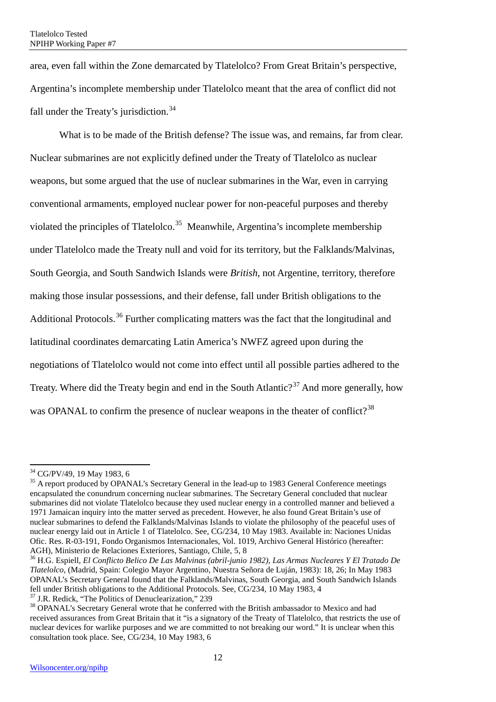area, even fall within the Zone demarcated by Tlatelolco? From Great Britain's perspective, Argentina's incomplete membership under Tlatelolco meant that the area of conflict did not fall under the Treaty's jurisdiction. $34$ 

What is to be made of the British defense? The issue was, and remains, far from clear. Nuclear submarines are not explicitly defined under the Treaty of Tlatelolco as nuclear weapons, but some argued that the use of nuclear submarines in the War, even in carrying conventional armaments, employed nuclear power for non-peaceful purposes and thereby violated the principles of Tlatelolco.<sup>[35](#page-21-1)</sup> Meanwhile, Argentina's incomplete membership under Tlatelolco made the Treaty null and void for its territory, but the Falklands/Malvinas, South Georgia, and South Sandwich Islands were *British*, not Argentine, territory, therefore making those insular possessions, and their defense, fall under British obligations to the Additional Protocols.<sup>[36](#page-21-2)</sup> Further complicating matters was the fact that the longitudinal and latitudinal coordinates demarcating Latin America's NWFZ agreed upon during the negotiations of Tlatelolco would not come into effect until all possible parties adhered to the Treaty. Where did the Treaty begin and end in the South Atlantic?<sup>[37](#page-21-3)</sup> And more generally, how was OPANAL to confirm the presence of nuclear weapons in the theater of conflict?<sup>[38](#page-21-4)</sup>

**.** 

<span id="page-21-2"></span>AGH), Ministerio de Relaciones Exteriores, Santiago, Chile, 5, 8<br><sup>36</sup> H.G. Espiell, *El Conflicto Belico De Las Malvinas (abril-junio 1982), Las Armas Nucleares Y El Tratado De Tlatelolco*, (Madrid, Spain: Colegio Mayor Argentino, Nuestra Señora de Luján, 1983): 18, 26; In May 1983 OPANAL's Secretary General found that the Falklands/Malvinas, South Georgia, and South Sandwich Islands fell under British obligations to the Additional Protocols. See, CG/234, 10 May 1983, 4<sup>37</sup> J.R. Redick, "The Politics of Denuclearization," 239

<span id="page-21-1"></span><span id="page-21-0"></span> $34$  CG/PV/49, 19 May 1983, 6<br> $35$  A report produced by OPANAL's Secretary General in the lead-up to 1983 General Conference meetings encapsulated the conundrum concerning nuclear submarines. The Secretary General concluded that nuclear submarines did not violate Tlatelolco because they used nuclear energy in a controlled manner and believed a 1971 Jamaican inquiry into the matter served as precedent. However, he also found Great Britain's use of nuclear submarines to defend the Falklands/Malvinas Islands to violate the philosophy of the peaceful uses of nuclear energy laid out in Article 1 of Tlatelolco. See, CG/234, 10 May 1983. Available in: Naciones Unidas Ofic. Res. R-03-191, Fondo Organismos Internacionales, Vol. 1019, Archivo General Histórico (hereafter:

<span id="page-21-3"></span>

<span id="page-21-4"></span><sup>&</sup>lt;sup>38</sup> OPANAL's Secretary General wrote that he conferred with the British ambassador to Mexico and had received assurances from Great Britain that it "is a signatory of the Treaty of Tlatelolco, that restricts the use of nuclear devices for warlike purposes and we are committed to not breaking our word." It is unclear when this consultation took place. See, CG/234, 10 May 1983, 6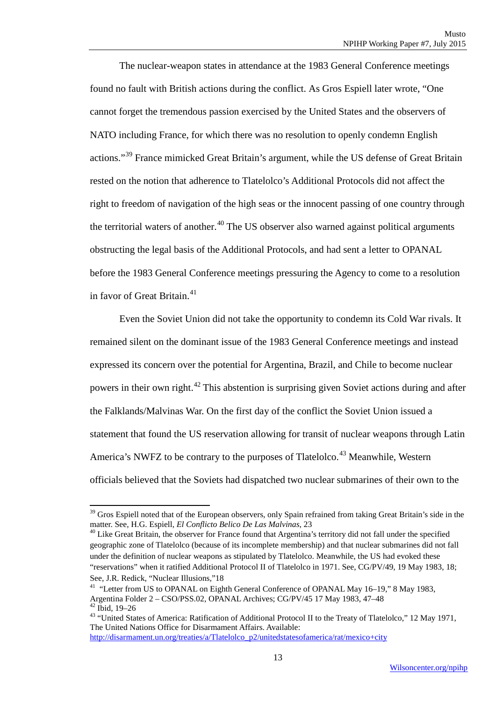The nuclear-weapon states in attendance at the 1983 General Conference meetings found no fault with British actions during the conflict. As Gros Espiell later wrote, "One cannot forget the tremendous passion exercised by the United States and the observers of NATO including France, for which there was no resolution to openly condemn English actions."[39](#page-22-0) France mimicked Great Britain's argument, while the US defense of Great Britain rested on the notion that adherence to Tlatelolco's Additional Protocols did not affect the right to freedom of navigation of the high seas or the innocent passing of one country through the territorial waters of another.<sup>[40](#page-22-1)</sup> The US observer also warned against political arguments obstructing the legal basis of the Additional Protocols, and had sent a letter to OPANAL before the 1983 General Conference meetings pressuring the Agency to come to a resolution in favor of Great Britain.<sup>[41](#page-22-2)</sup>

Even the Soviet Union did not take the opportunity to condemn its Cold War rivals. It remained silent on the dominant issue of the 1983 General Conference meetings and instead expressed its concern over the potential for Argentina, Brazil, and Chile to become nuclear powers in their own right.[42](#page-22-3) This abstention is surprising given Soviet actions during and after the Falklands/Malvinas War. On the first day of the conflict the Soviet Union issued a statement that found the US reservation allowing for transit of nuclear weapons through Latin America's NWFZ to be contrary to the purposes of Tlatelolco.<sup>[43](#page-22-4)</sup> Meanwhile, Western officials believed that the Soviets had dispatched two nuclear submarines of their own to the

<span id="page-22-0"></span> $39$  Gros Espiell noted that of the European observers, only Spain refrained from taking Great Britain's side in the matter. See, H.G. Espiell, *El Conflicto Belico De Las Malvinas*, 23

<span id="page-22-1"></span><sup>&</sup>lt;sup>40</sup> Like Great Britain, the observer for France found that Argentina's territory did not fall under the specified geographic zone of Tlatelolco (because of its incomplete membership) and that nuclear submarines did not fall under the definition of nuclear weapons as stipulated by Tlatelolco. Meanwhile, the US had evoked these "reservations" when it ratified Additional Protocol II of Tlatelolco in 1971. See, CG/PV/49, 19 May 1983, 18;

<span id="page-22-2"></span>See, J.R. Redick, "Nuclear Illusions,"18<br><sup>41</sup> "Letter from US to OPANAL on Eighth General Conference of OPANAL May 16–19," 8 May 1983,<br>Argentina Folder 2 – CSO/PSS.02. OPANAL Archives: CG/PV/45 17 May 1983, 47–48

<span id="page-22-4"></span><span id="page-22-3"></span><sup>&</sup>lt;sup>42</sup> Ibid, 19–26<br><sup>43</sup> "United States of America: Ratification of Additional Protocol II to the Treaty of Tlatelolco," 12 May 1971, The United Nations Office for Disarmament Affairs. Available:

[http://disarmament.un.org/treaties/a/Tlatelolco\\_p2/unitedstatesofamerica/rat/mexico+city](http://disarmament.un.org/treaties/a/tlateloco_p2/unitedstatesofamerica/rat/mexico+city)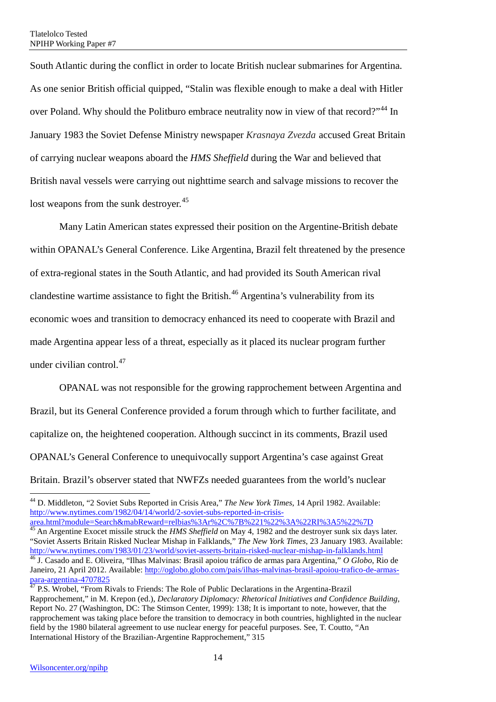South Atlantic during the conflict in order to locate British nuclear submarines for Argentina. As one senior British official quipped, "Stalin was flexible enough to make a deal with Hitler over Poland. Why should the Politburo embrace neutrality now in view of that record?"<sup>[44](#page-23-0)</sup> In January 1983 the Soviet Defense Ministry newspaper *Krasnaya Zvezda* accused Great Britain of carrying nuclear weapons aboard the *HMS Sheffield* during the War and believed that British naval vessels were carrying out nighttime search and salvage missions to recover the lost weapons from the sunk destroyer.<sup>45</sup>

Many Latin American states expressed their position on the Argentine-British debate within OPANAL's General Conference. Like Argentina, Brazil felt threatened by the presence of extra-regional states in the South Atlantic, and had provided its South American rival clandestine wartime assistance to fight the British.<sup>[46](#page-23-2)</sup> Argentina's vulnerability from its economic woes and transition to democracy enhanced its need to cooperate with Brazil and made Argentina appear less of a threat, especially as it placed its nuclear program further under civilian control.<sup>47</sup>

OPANAL was not responsible for the growing rapprochement between Argentina and Brazil, but its General Conference provided a forum through which to further facilitate, and capitalize on, the heightened cooperation. Although succinct in its comments, Brazil used OPANAL's General Conference to unequivocally support Argentina's case against Great Britain. Brazil's observer stated that NWFZs needed guarantees from the world's nuclear

<span id="page-23-1"></span>[area.html?module=Search&mabReward=relbias%3Ar%2C%7B%221%22%3A%22RI%3A5%22%7D 45](http://www.nytimes.com/1982/04/14/world/2-soviet-subs-reported-in-crisis-area.html?module=Search&mabReward=relbias%3Ar%2C%7B%221%22%3A%22RI%3A5%22%7D) An Argentine Exocet missile struck the *HMS Sheffield* on May 4, 1982 and the destroyer sunk six days later. "Soviet Asserts Britain Risked Nuclear Mishap in Falklands," *The New York Times*, 23 January 1983. Available: <sup>46</sup> J. Casado and E. Oliveira, "Ilhas Malvinas: Brasil apoiou tráfico de armas para Argentina," *O Globo*, Rio de Janeiro, 21 April 2012. Available: http://oglobo.globo.com/pais/ilhas-malvinas-brasil-apoiou-trafico-de-armas-<br>para-argentina-4707825<br><sup>47</sup> P.S. Washel (i.e., P.i. 1995)

<span id="page-23-0"></span><sup>44</sup> D. Middleton, "2 Soviet Subs Reported in Crisis Area," *The New York Times*, 14 April 1982. Available: [http://www.nytimes.com/1982/04/14/world/2-soviet-subs-reported-in-crisis-](http://www.nytimes.com/1982/04/14/world/2-soviet-subs-reported-in-crisis-area.html?module=Search&mabReward=relbias%3Ar%2C%7B%221%22%3A%22RI%3A5%22%7D)

<span id="page-23-3"></span><span id="page-23-2"></span>P.S. Wrobel, "From Rivals to Friends: The Role of Public Declarations in the Argentina-Brazil Rapprochement," in M. Krepon (ed.), *Declaratory Diplomacy: Rhetorical Initiatives and Confidence Building*, Report No. 27 (Washington, DC: The Stimson Center, 1999): 138; It is important to note, however, that the rapprochement was taking place before the transition to democracy in both countries, highlighted in the nuclear field by the 1980 bilateral agreement to use nuclear energy for peaceful purposes. See, T. Coutto, "An International History of the Brazilian-Argentine Rapprochement," 315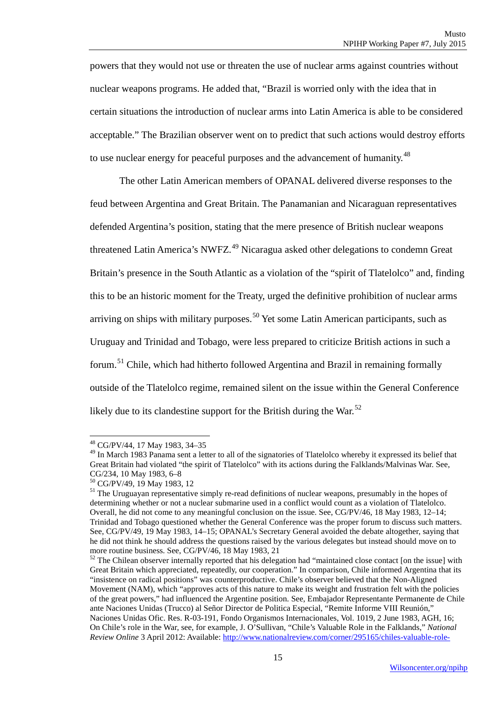powers that they would not use or threaten the use of nuclear arms against countries without nuclear weapons programs. He added that, "Brazil is worried only with the idea that in certain situations the introduction of nuclear arms into Latin America is able to be considered acceptable." The Brazilian observer went on to predict that such actions would destroy efforts to use nuclear energy for peaceful purposes and the advancement of humanity.<sup>[48](#page-24-0)</sup>

The other Latin American members of OPANAL delivered diverse responses to the feud between Argentina and Great Britain. The Panamanian and Nicaraguan representatives defended Argentina's position, stating that the mere presence of British nuclear weapons threatened Latin America's NWFZ.<sup>[49](#page-24-1)</sup> Nicaragua asked other delegations to condemn Great Britain's presence in the South Atlantic as a violation of the "spirit of Tlatelolco" and, finding this to be an historic moment for the Treaty, urged the definitive prohibition of nuclear arms arriving on ships with military purposes.<sup>[50](#page-24-2)</sup> Yet some Latin American participants, such as Uruguay and Trinidad and Tobago, were less prepared to criticize British actions in such a forum.[51](#page-24-3) Chile, which had hitherto followed Argentina and Brazil in remaining formally outside of the Tlatelolco regime, remained silent on the issue within the General Conference likely due to its clandestine support for the British during the War.<sup>[52](#page-24-4)</sup>

<sup>48</sup> CG/PV/44, 17 May 1983, 34–35

<span id="page-24-1"></span><span id="page-24-0"></span><sup>&</sup>lt;sup>49</sup> In March 1983 Panama sent a letter to all of the signatories of Tlatelolco whereby it expressed its belief that Great Britain had violated "the spirit of Tlatelolco" with its actions during the Falklands/Malvinas War. See, CG/234, 10 May 1983, 6-8

<span id="page-24-3"></span><span id="page-24-2"></span> $^{50}$  CG/PV/49, 19 May 1983, 12<br><sup>51</sup> The Uruguayan representative simply re-read definitions of nuclear weapons, presumably in the hopes of determining whether or not a nuclear submarine used in a conflict would count as a violation of Tlatelolco. Overall, he did not come to any meaningful conclusion on the issue. See, CG/PV/46, 18 May 1983, 12–14; Trinidad and Tobago questioned whether the General Conference was the proper forum to discuss such matters. See, CG/PV/49, 19 May 1983, 14–15; OPANAL's Secretary General avoided the debate altogether, saying that he did not think he should address the questions raised by the various delegates but instead should move on to more routine business. See, CG/PV/46, 18 May 1983, 21

<span id="page-24-4"></span> $52$  The Chilean observer internally reported that his delegation had "maintained close contact [on the issue] with Great Britain which appreciated, repeatedly, our cooperation." In comparison, Chile informed Argentina that its "insistence on radical positions" was counterproductive. Chile's observer believed that the Non-Aligned Movement (NAM), which "approves acts of this nature to make its weight and frustration felt with the policies of the great powers," had influenced the Argentine position. See, Embajador Representante Permanente de Chile ante Naciones Unidas (Trucco) al Señor Director de Politica Especial, "Remite Informe VIII Reunión," Naciones Unidas Ofic. Res. R-03-191, Fondo Organismos Internacionales, Vol. 1019, 2 June 1983, AGH, 16; On Chile's role in the War, see, for example, J. O'Sullivan, "Chile's Valuable Role in the Falklands," *National Review Online* 3 April 2012: Available: [http://www.nationalreview.com/corner/295165/chiles-valuable-role-](http://www.nationalreview.com/corner/295165/chiles-valuable-role-falklands-war-john-osullivan)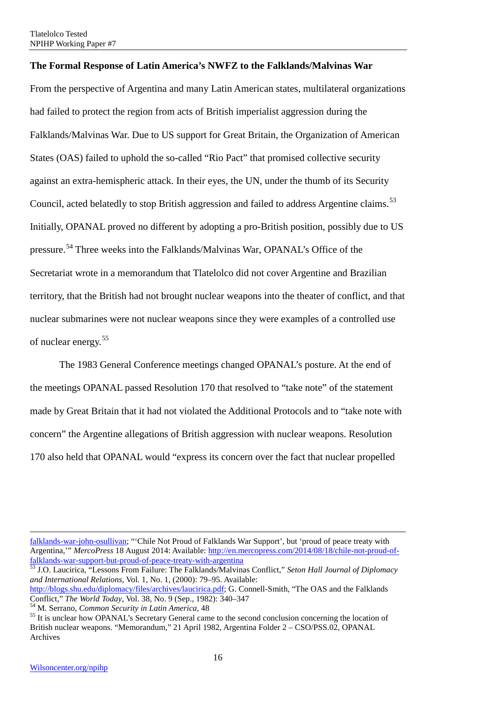#### <span id="page-25-0"></span>**The Formal Response of Latin America's NWFZ to the Falklands/Malvinas War**

From the perspective of Argentina and many Latin American states, multilateral organizations had failed to protect the region from acts of British imperialist aggression during the Falklands/Malvinas War. Due to US support for Great Britain, the Organization of American States (OAS) failed to uphold the so-called "Rio Pact" that promised collective security against an extra-hemispheric attack. In their eyes, the UN, under the thumb of its Security Council, acted belatedly to stop British aggression and failed to address Argentine claims.<sup>[53](#page-25-1)</sup> Initially, OPANAL proved no different by adopting a pro-British position, possibly due to US pressure.<sup>[54](#page-25-2)</sup> Three weeks into the Falklands/Malvinas War, OPANAL's Office of the Secretariat wrote in a memorandum that Tlatelolco did not cover Argentine and Brazilian territory, that the British had not brought nuclear weapons into the theater of conflict, and that nuclear submarines were not nuclear weapons since they were examples of a controlled use of nuclear energy.[55](#page-25-3)

The 1983 General Conference meetings changed OPANAL's posture. At the end of the meetings OPANAL passed Resolution 170 that resolved to "take note" of the statement made by Great Britain that it had not violated the Additional Protocols and to "take note with concern" the Argentine allegations of British aggression with nuclear weapons. Resolution 170 also held that OPANAL would "express its concern over the fact that nuclear propelled

 $\overline{\phantom{a}}$ 

[falklands-war-john-osullivan;](http://www.nationalreview.com/corner/295165/chiles-valuable-role-falklands-war-john-osullivan) "'Chile Not Proud of Falklands War Support', but 'proud of peace treaty with Argentina,'" *MercoPress* 18 August 2014: Available: [http://en.mercopress.com/2014/08/18/chile-not-proud-of](http://en.mercopress.com/2014/08/18/chile-not-proud-of-falklands-war-support-but-proud-of-peace-treaty-with-argentina)[falklands-war-support-but-proud-of-peace-treaty-with-argentina 53](http://en.mercopress.com/2014/08/18/chile-not-proud-of-falklands-war-support-but-proud-of-peace-treaty-with-argentina) J.O. Laucirica, "Lessons From Failure: The Falklands/Malvinas Conflict," *Seton Hall Journal of Diplomacy* 

<span id="page-25-1"></span>*and International Relations*, Vol. 1, No. 1, (2000): 79–95. Available:

[http://blogs.shu.edu/diplomacy/files/archives/laucirica.pdf;](http://blogs.shu.edu/diplomacy/files/archives/laucirica.pdf) G. Connell-Smith, "The OAS and the Falklands<br>Conflict." The World Today. Vol. 38, No. 9 (Sep., 1982): 340–347

<span id="page-25-3"></span><span id="page-25-2"></span> $54$  M. Serrano, *Common Security in Latin America*, 48<br> $55$  It is unclear how OPANAL's Secretary General came to the second conclusion concerning the location of British nuclear weapons. "Memorandum," 21 April 1982, Argentina Folder 2 – CSO/PSS.02, OPANAL Archives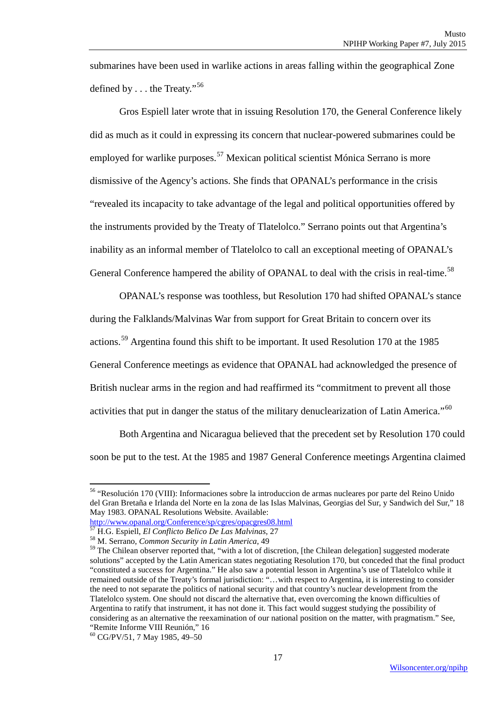submarines have been used in warlike actions in areas falling within the geographical Zone defined by . . . the Treaty."[56](#page-26-0)

Gros Espiell later wrote that in issuing Resolution 170, the General Conference likely did as much as it could in expressing its concern that nuclear-powered submarines could be employed for warlike purposes.<sup>[57](#page-26-1)</sup> Mexican political scientist Mónica Serrano is more dismissive of the Agency's actions. She finds that OPANAL's performance in the crisis "revealed its incapacity to take advantage of the legal and political opportunities offered by the instruments provided by the Treaty of Tlatelolco." Serrano points out that Argentina's inability as an informal member of Tlatelolco to call an exceptional meeting of OPANAL's General Conference hampered the ability of OPANAL to deal with the crisis in real-time.<sup>[58](#page-26-2)</sup>

OPANAL's response was toothless, but Resolution 170 had shifted OPANAL's stance during the Falklands/Malvinas War from support for Great Britain to concern over its actions.[59](#page-26-3) Argentina found this shift to be important. It used Resolution 170 at the 1985 General Conference meetings as evidence that OPANAL had acknowledged the presence of British nuclear arms in the region and had reaffirmed its "commitment to prevent all those activities that put in danger the status of the military denuclearization of Latin America."<sup>[60](#page-26-4)</sup>

Both Argentina and Nicaragua believed that the precedent set by Resolution 170 could soon be put to the test. At the 1985 and 1987 General Conference meetings Argentina claimed

1

<span id="page-26-0"></span><sup>56</sup> "Resolución 170 (VIII): Informaciones sobre la introduccion de armas nucleares por parte del Reino Unido del Gran Bretaña e Irlanda del Norte en la zona de las Islas Malvinas, Georgias del Sur, y Sandwich del Sur," 18 May 1983. OPANAL Resolutions Website. Available:

<http://www.opanal.org/Conference/sp/cgres/opacgres08.html>

<span id="page-26-1"></span><sup>57</sup> H.G. Espiell, *El Conflicto Belico De Las Malvinas*, 27 <sup>58</sup> M. Serrano, *Common Security in Latin America*, <sup>49</sup>

<span id="page-26-3"></span><span id="page-26-2"></span><sup>&</sup>lt;sup>59</sup> The Chilean observer reported that, "with a lot of discretion, [the Chilean delegation] suggested moderate solutions" accepted by the Latin American states negotiating Resolution 170, but conceded that the final product "constituted a success for Argentina." He also saw a potential lesson in Argentina's use of Tlatelolco while it remained outside of the Treaty's formal jurisdiction: "…with respect to Argentina, it is interesting to consider the need to not separate the politics of national security and that country's nuclear development from the Tlatelolco system. One should not discard the alternative that, even overcoming the known difficulties of Argentina to ratify that instrument, it has not done it. This fact would suggest studying the possibility of considering as an alternative the reexamination of our national position on the matter, with pragmatism." See, "Remite Informe VIII Reunión," 16

<span id="page-26-4"></span><sup>60</sup> CG/PV/51, 7 May 1985, 49–50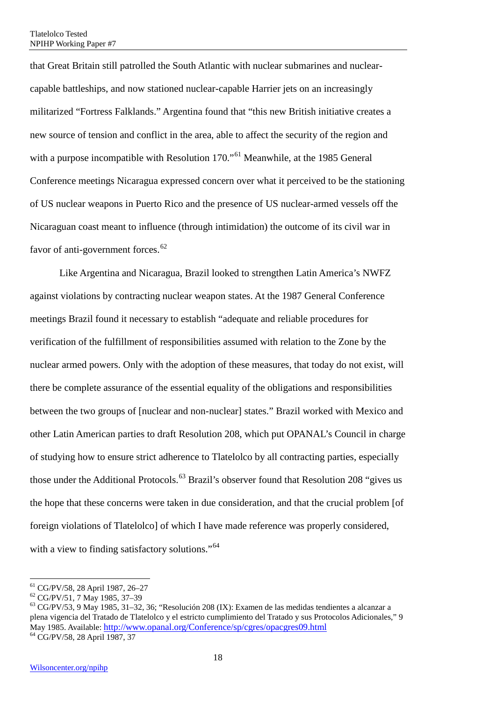that Great Britain still patrolled the South Atlantic with nuclear submarines and nuclearcapable battleships, and now stationed nuclear-capable Harrier jets on an increasingly militarized "Fortress Falklands." Argentina found that "this new British initiative creates a new source of tension and conflict in the area, able to affect the security of the region and with a purpose incompatible with Resolution 170."<sup>[61](#page-27-0)</sup> Meanwhile, at the 1985 General Conference meetings Nicaragua expressed concern over what it perceived to be the stationing of US nuclear weapons in Puerto Rico and the presence of US nuclear-armed vessels off the Nicaraguan coast meant to influence (through intimidation) the outcome of its civil war in favor of anti-government forces.<sup>[62](#page-27-1)</sup>

Like Argentina and Nicaragua, Brazil looked to strengthen Latin America's NWFZ against violations by contracting nuclear weapon states. At the 1987 General Conference meetings Brazil found it necessary to establish "adequate and reliable procedures for verification of the fulfillment of responsibilities assumed with relation to the Zone by the nuclear armed powers. Only with the adoption of these measures, that today do not exist, will there be complete assurance of the essential equality of the obligations and responsibilities between the two groups of [nuclear and non-nuclear] states." Brazil worked with Mexico and other Latin American parties to draft Resolution 208, which put OPANAL's Council in charge of studying how to ensure strict adherence to Tlatelolco by all contracting parties, especially those under the Additional Protocols.<sup>[63](#page-27-2)</sup> Brazil's observer found that Resolution 208 "gives us the hope that these concerns were taken in due consideration, and that the crucial problem [of foreign violations of Tlatelolco] of which I have made reference was properly considered, with a view to finding satisfactory solutions."<sup>[64](#page-27-3)</sup>

<span id="page-27-0"></span><sup>&</sup>lt;sup>61</sup> CG/PV/58, 28 April 1987, 26-27

<span id="page-27-3"></span><span id="page-27-2"></span>

<span id="page-27-1"></span> $^{62}$  CG/PV/51, 7 May 1985, 37–39<br> $^{63}$  CG/PV/53, 9 May 1985, 31–32, 36; "Resolución 208 (IX): Examen de las medidas tendientes a alcanzar a plena vigencia del Tratado de Tlatelolco y el estricto cumplimiento del Tratado y sus Protocolos Adicionales," 9 May 1985. Available[: http://www.opanal.org/Conference/sp/cgres/opacgres09.html](http://www.opanal.org/Conference/sp/cgres/opacgres09.html) <sup>64</sup> CG/PV/58, 28 April 1987, 37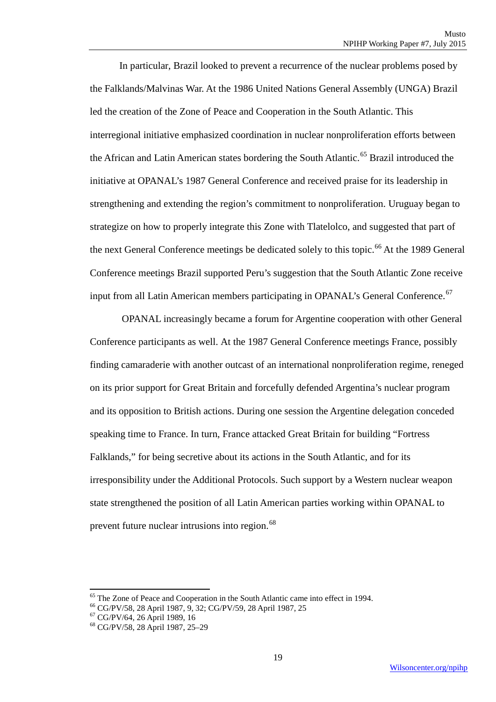In particular, Brazil looked to prevent a recurrence of the nuclear problems posed by the Falklands/Malvinas War. At the 1986 United Nations General Assembly (UNGA) Brazil led the creation of the Zone of Peace and Cooperation in the South Atlantic. This interregional initiative emphasized coordination in nuclear nonproliferation efforts between the African and Latin American states bordering the South Atlantic.<sup>[65](#page-28-0)</sup> Brazil introduced the initiative at OPANAL's 1987 General Conference and received praise for its leadership in strengthening and extending the region's commitment to nonproliferation. Uruguay began to strategize on how to properly integrate this Zone with Tlatelolco, and suggested that part of the next General Conference meetings be dedicated solely to this topic.<sup>[66](#page-28-1)</sup> At the 1989 General Conference meetings Brazil supported Peru's suggestion that the South Atlantic Zone receive input from all Latin American members participating in OPANAL's General Conference.<sup>[67](#page-28-2)</sup>

OPANAL increasingly became a forum for Argentine cooperation with other General Conference participants as well. At the 1987 General Conference meetings France, possibly finding camaraderie with another outcast of an international nonproliferation regime, reneged on its prior support for Great Britain and forcefully defended Argentina's nuclear program and its opposition to British actions. During one session the Argentine delegation conceded speaking time to France. In turn, France attacked Great Britain for building "Fortress Falklands," for being secretive about its actions in the South Atlantic, and for its irresponsibility under the Additional Protocols. Such support by a Western nuclear weapon state strengthened the position of all Latin American parties working within OPANAL to prevent future nuclear intrusions into region.<sup>[68](#page-28-3)</sup>

<sup>&</sup>lt;sup>65</sup> The Zone of Peace and Cooperation in the South Atlantic came into effect in 1994.<br>
<sup>66</sup> CG/PV/58, 28 April 1987, 9, 32; CG/PV/59, 28 April 1987, 25<sup>67</sup> CG/PV/64, 26 April 1989, 16<sup>68</sup> CG/PV/58, 28 April 1987, 25–29

<span id="page-28-2"></span><span id="page-28-1"></span><span id="page-28-0"></span>

<span id="page-28-3"></span>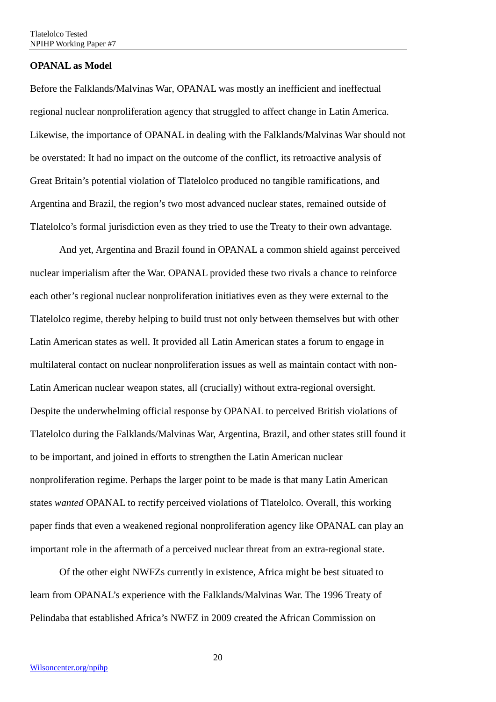#### <span id="page-29-0"></span>**OPANAL as Model**

Before the Falklands/Malvinas War, OPANAL was mostly an inefficient and ineffectual regional nuclear nonproliferation agency that struggled to affect change in Latin America. Likewise, the importance of OPANAL in dealing with the Falklands/Malvinas War should not be overstated: It had no impact on the outcome of the conflict, its retroactive analysis of Great Britain's potential violation of Tlatelolco produced no tangible ramifications, and Argentina and Brazil, the region's two most advanced nuclear states, remained outside of Tlatelolco's formal jurisdiction even as they tried to use the Treaty to their own advantage.

And yet, Argentina and Brazil found in OPANAL a common shield against perceived nuclear imperialism after the War. OPANAL provided these two rivals a chance to reinforce each other's regional nuclear nonproliferation initiatives even as they were external to the Tlatelolco regime, thereby helping to build trust not only between themselves but with other Latin American states as well. It provided all Latin American states a forum to engage in multilateral contact on nuclear nonproliferation issues as well as maintain contact with non-Latin American nuclear weapon states, all (crucially) without extra-regional oversight. Despite the underwhelming official response by OPANAL to perceived British violations of Tlatelolco during the Falklands/Malvinas War, Argentina, Brazil, and other states still found it to be important, and joined in efforts to strengthen the Latin American nuclear nonproliferation regime. Perhaps the larger point to be made is that many Latin American states *wanted* OPANAL to rectify perceived violations of Tlatelolco. Overall, this working paper finds that even a weakened regional nonproliferation agency like OPANAL can play an important role in the aftermath of a perceived nuclear threat from an extra-regional state.

Of the other eight NWFZs currently in existence, Africa might be best situated to learn from OPANAL's experience with the Falklands/Malvinas War. The 1996 Treaty of Pelindaba that established Africa's NWFZ in 2009 created the African Commission on

20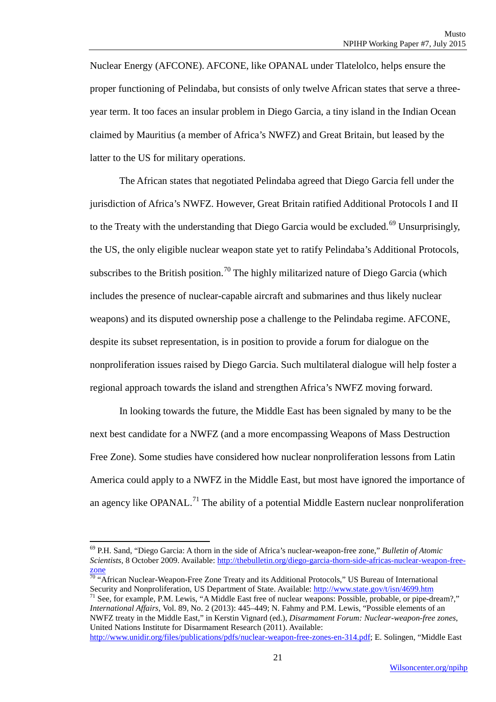Nuclear Energy (AFCONE). AFCONE, like OPANAL under Tlatelolco, helps ensure the proper functioning of Pelindaba, but consists of only twelve African states that serve a threeyear term. It too faces an insular problem in Diego Garcia, a tiny island in the Indian Ocean claimed by Mauritius (a member of Africa's NWFZ) and Great Britain, but leased by the latter to the US for military operations.

The African states that negotiated Pelindaba agreed that Diego Garcia fell under the jurisdiction of Africa's NWFZ. However, Great Britain ratified Additional Protocols I and II to the Treaty with the understanding that Diego Garcia would be excluded.<sup>[69](#page-30-0)</sup> Unsurprisingly, the US, the only eligible nuclear weapon state yet to ratify Pelindaba's Additional Protocols, subscribes to the British position.<sup>[70](#page-30-1)</sup> The highly militarized nature of Diego Garcia (which includes the presence of nuclear-capable aircraft and submarines and thus likely nuclear weapons) and its disputed ownership pose a challenge to the Pelindaba regime. AFCONE, despite its subset representation, is in position to provide a forum for dialogue on the nonproliferation issues raised by Diego Garcia. Such multilateral dialogue will help foster a regional approach towards the island and strengthen Africa's NWFZ moving forward.

In looking towards the future, the Middle East has been signaled by many to be the next best candidate for a NWFZ (and a more encompassing Weapons of Mass Destruction Free Zone). Some studies have considered how nuclear nonproliferation lessons from Latin America could apply to a NWFZ in the Middle East, but most have ignored the importance of an agency like OPANAL.<sup>[71](#page-30-2)</sup> The ability of a potential Middle Eastern nuclear nonproliferation

 $\overline{\phantom{a}}$ 

<span id="page-30-2"></span> $^{71}$  See, for example, P.M. Lewis, "A Middle East free of nuclear weapons: Possible, probable, or pipe-dream?," *International Affairs*, Vol. 89, No. 2 (2013): 445–449; N. Fahmy and P.M. Lewis, "Possible elements of an NWFZ treaty in the Middle East," in Kerstin Vignard (ed.), *Disarmament Forum: Nuclear-weapon-free zones*, United Nations Institute for Disarmament Research (2011). Available:

[http://www.unidir.org/files/publications/pdfs/nuclear-weapon-free-zones-en-314.pdf;](http://www.unidir.org/files/publications/pdfs/nuclear-weapon-free-zones-en-314.pdf) E. Solingen, "Middle East

<span id="page-30-0"></span><sup>69</sup> P.H. Sand, "Diego Garcia: A thorn in the side of Africa's nuclear-weapon-free zone," *Bulletin of Atomic Scientists*, 8 October 2009. Available: [http://thebulletin.org/diego-garcia-thorn-side-africas-nuclear-weapon-free-](http://thebulletin.org/diego-garcia-thorn-side-africas-nuclear-weapon-free-zone)

<span id="page-30-1"></span> $\frac{z_{\text{one}}}{70}$  "African Nuclear-Weapon-Free Zone Treaty and its Additional Protocols," US Bureau of International Security and Nonproliferation, US Department of State. Available: http://www.state.gov/t/isn/4699.htm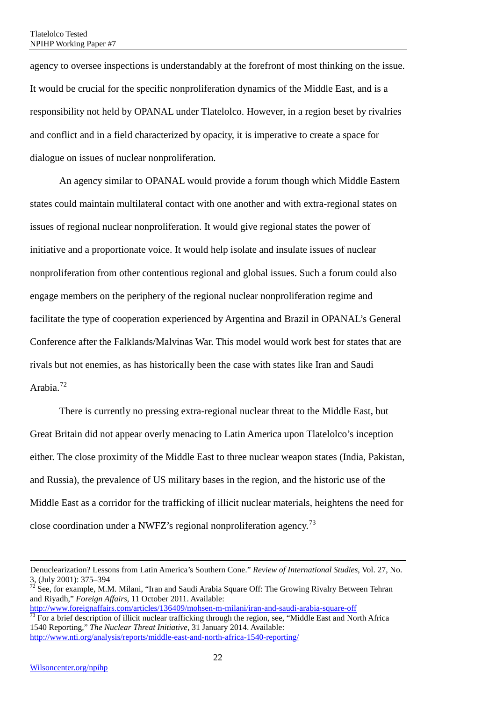agency to oversee inspections is understandably at the forefront of most thinking on the issue. It would be crucial for the specific nonproliferation dynamics of the Middle East, and is a responsibility not held by OPANAL under Tlatelolco. However, in a region beset by rivalries and conflict and in a field characterized by opacity, it is imperative to create a space for dialogue on issues of nuclear nonproliferation.

An agency similar to OPANAL would provide a forum though which Middle Eastern states could maintain multilateral contact with one another and with extra-regional states on issues of regional nuclear nonproliferation. It would give regional states the power of initiative and a proportionate voice. It would help isolate and insulate issues of nuclear nonproliferation from other contentious regional and global issues. Such a forum could also engage members on the periphery of the regional nuclear nonproliferation regime and facilitate the type of cooperation experienced by Argentina and Brazil in OPANAL's General Conference after the Falklands/Malvinas War. This model would work best for states that are rivals but not enemies, as has historically been the case with states like Iran and Saudi Arabia.<sup>[72](#page-31-0)</sup>

There is currently no pressing extra-regional nuclear threat to the Middle East, but Great Britain did not appear overly menacing to Latin America upon Tlatelolco's inception either. The close proximity of the Middle East to three nuclear weapon states (India, Pakistan, and Russia), the prevalence of US military bases in the region, and the historic use of the Middle East as a corridor for the trafficking of illicit nuclear materials, heightens the need for close coordination under a NWFZ's regional nonproliferation agency.[73](#page-31-1)

<span id="page-31-1"></span><http://www.foreignaffairs.com/articles/136409/mohsen-m-milani/iran-and-saudi-arabia-square-off>  $\frac{73}{73}$  For a brief description of illicit nuclear trafficking through the region, see, "Middle East and North Africa 1540 Reporting," *The Nuclear Threat Initiative*, 31 January 2014. Available: <http://www.nti.org/analysis/reports/middle-east-and-north-africa-1540-reporting/>

 $\overline{\phantom{a}}$ 

Denuclearization? Lessons from Latin America's Southern Cone." *Review of International Studies*, Vol. 27, No. 3, (July 2001): 375–394<br><sup>72</sup> See, for example, M.M. Milani, "Iran and Saudi Arabia Square Off: The Growing Rivalry Between Tehran

<span id="page-31-0"></span>and Riyadh," *Foreign Affairs*, 11 October 2011. Available: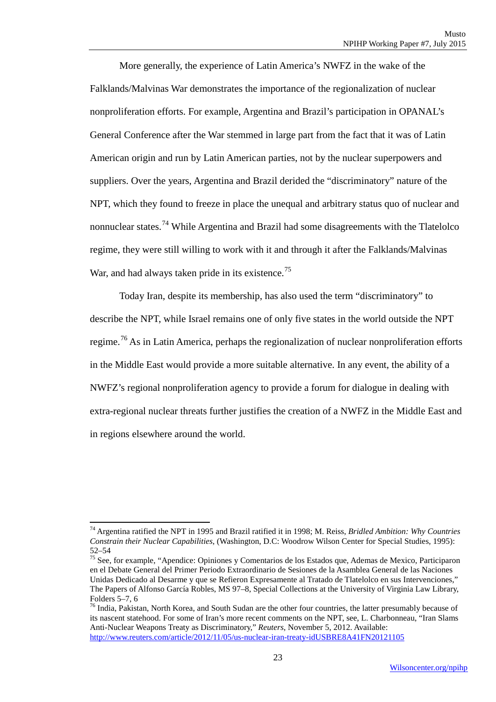More generally, the experience of Latin America's NWFZ in the wake of the Falklands/Malvinas War demonstrates the importance of the regionalization of nuclear nonproliferation efforts. For example, Argentina and Brazil's participation in OPANAL's General Conference after the War stemmed in large part from the fact that it was of Latin American origin and run by Latin American parties, not by the nuclear superpowers and suppliers. Over the years, Argentina and Brazil derided the "discriminatory" nature of the NPT, which they found to freeze in place the unequal and arbitrary status quo of nuclear and nonnuclear states.<sup>[74](#page-32-0)</sup> While Argentina and Brazil had some disagreements with the Tlatelolco regime, they were still willing to work with it and through it after the Falklands/Malvinas War, and had always taken pride in its existence.<sup>[75](#page-32-1)</sup>

Today Iran, despite its membership, has also used the term "discriminatory" to describe the NPT, while Israel remains one of only five states in the world outside the NPT regime.<sup>[76](#page-32-2)</sup> As in Latin America, perhaps the regionalization of nuclear nonproliferation efforts in the Middle East would provide a more suitable alternative. In any event, the ability of a NWFZ's regional nonproliferation agency to provide a forum for dialogue in dealing with extra-regional nuclear threats further justifies the creation of a NWFZ in the Middle East and in regions elsewhere around the world.

<span id="page-32-0"></span><sup>74</sup> Argentina ratified the NPT in 1995 and Brazil ratified it in 1998; M. Reiss, *Bridled Ambition: Why Countries Constrain their Nuclear Capabilities*, (Washington, D.C: Woodrow Wilson Center for Special Studies, 1995): 52–54 <sup>75</sup> See, for example, "Apendice: Opiniones y Comentarios de los Estados que, Ademas de Mexico, Participaron

<span id="page-32-1"></span>en el Debate General del Primer Periodo Extraordinario de Sesiones de la Asamblea General de las Naciones Unidas Dedicado al Desarme y que se Refieron Expresamente al Tratado de Tlatelolco en sus Intervenciones," The Papers of Alfonso García Robles, MS 97–8, Special Collections at the University of Virginia Law Library,

<span id="page-32-2"></span><sup>&</sup>lt;sup>76</sup> India, Pakistan, North Korea, and South Sudan are the other four countries, the latter presumably because of its nascent statehood. For some of Iran's more recent comments on the NPT, see, L. Charbonneau, "Iran Slams Anti-Nuclear Weapons Treaty as Discriminatory," *Reuters*, November 5, 2012. Available: <http://www.reuters.com/article/2012/11/05/us-nuclear-iran-treaty-idUSBRE8A41FN20121105>